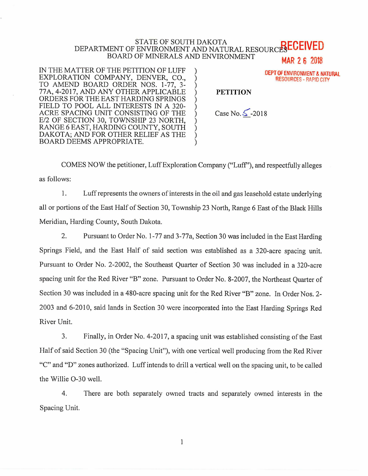## STATE OF SOUTH DAKOTA DEPARTMENT OF ENVIRONMENT AND NATURAL RESOURCESECEIVED BOARD OF MINERALS AND ENVIRONMENT **MAR 2 6 2018**

IN THE MATTER OF THE PETITION OF LUFF EXPLORATION COMPANY, DENVER, CO., TO AMEND BOARD ORDER NOS. 1-77, 3- 77A, 4-2017, AND ANY OTHER APPLICABLE ORDERS FOR THE EAST HARDING SPRINGS FIELD TO POOL ALL INTERESTS IN A 320- ACRE SPACING UNIT CONSISTING OF THE E/2 OF SECTION 30, TOWNSHIP 23 NORTH, RANGE 6 EAST, HARDING COUNTY, SOUTH DAKOTA; AND FOR OTHER RELIEF AS THE BOARD DEEMS APPROPRIATE.



COMES NOW the petitioner, Luff Exploration Company ("Luff'), and respectfully alleges as follows:

1. Luff represents the owners of interests in the oil and gas leasehold estate underlying all or portions of the East Half of Section 30, Township 23 North, Range 6 East of the Black Hills Meridian, Harding County, South Dakota.

2. Pursuant to Order No. 1-77 and 3-77a, Section 30 was included in the East Harding Springs Field, and the East Half of said section was established as a 320-acre spacing unit. Pursuant to Order No. 2-2002, the Southeast Quarter of Section 30 was included in a 320-acre spacing unit for the Red River "B" zone. Pursuant to Order No. 8-2007, the Northeast Quarter of Section 30 was included in a 480-acre spacing unit for the Red River "B" zone. In Order Nos. 2- 2003 and 6-2010, said lands in Section 30 were incorporated into the East Harding Springs Red River Unit.

3. Finally, in Order No. 4-2017, a spacing unit was established consisting of the East Half of said Section 30 (the "Spacing Unit"), with one vertical well producing from the Red River "C" and "D" zones authorized. Luff intends to drill a vertical well on the spacing unit, to be called the Willie 0-30 well.

4. There are both separately owned tracts and separately owned interests in the Spacing Unit.

1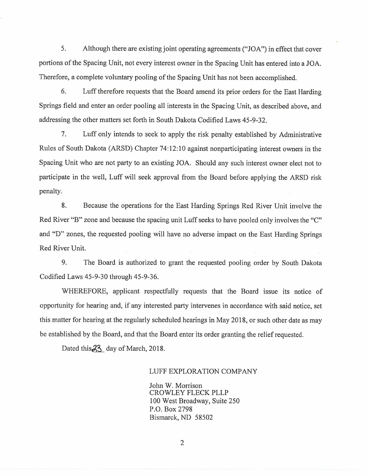5. Although there are existing joint operating agreements ("JOA") in effect that cover portions of the Spacing Unit, not every interest owner in the Spacing Unit has entered into a JOA. Therefore, a complete voluntary pooling of the Spacing Unit has not been accomplished.

6. Luff therefore requests that the Board amend its prior orders for the East Harding Springs field and enter an order pooling all interests in the Spacing Unit, as described above, and addressing the other matters set forth in South Dakota Codified Laws 45-9-32.

7. Luff only intends to seek to apply the risk penalty established by Administrative Rules of South Dakota (ARSD) Chapter 74:12:10 against nonparticipating interest owners in the Spacing Unit who are not party to an existing JOA. Should any such interest owner elect not to participate in the well, Luff will seek approval from the Board before applying the ARSD risk penalty.

8. Because the operations for the East Harding Springs Red River Unit involve the Red River "B" zone and because the spacing unit Luff seeks to have pooled only involves the "C" and "D" zones, the requested pooling will have no adverse impact on the East Harding Springs Red River Unit.

9. The Board is authorized to grant the requested pooling order by South Dakota Codified Laws 45-9-30 through 45-9-36.

WHEREFORE, applicant respectfully requests that the Board issue its notice of opportunity for hearing and, if any interested party intervenes in accordance with said notice, set this matter for hearing at the regularly scheduled hearings in May 2018, or such other date as may be established by the Board, and that the Board enter its order granting the relief requested.

Dated this  $23$  day of March, 2018.

## LUFF EXPLORATION COMPANY

John W. Morrison CROWLEY FLECK PLLP 100 West Broadway, Suite 250 P.O. Box 2798 Bismarck, ND 58502

2